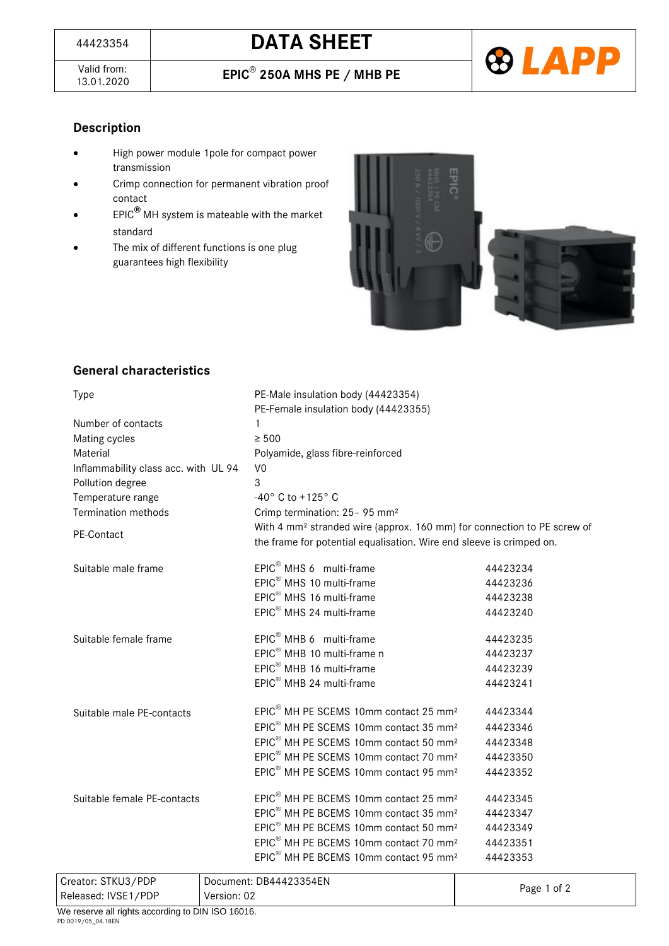Valid from: 13.01.2020 **EPIC**®



# **Description**

- High power module 1pole for compact power transmission
- Crimp connection for permanent vibration proof contact
- EPIC**®** MH system is mateable with the market standard
- The mix of different functions is one plug guarantees high flexibility



## **General characteristics**

| <b>Type</b>                          | PE-Male insulation body (44423354)<br>PE-Female insulation body (44423355)                                                                                  |          |  |
|--------------------------------------|-------------------------------------------------------------------------------------------------------------------------------------------------------------|----------|--|
| Number of contacts                   | 1                                                                                                                                                           |          |  |
| Mating cycles                        | $\geq 500$                                                                                                                                                  |          |  |
| Material                             | Polyamide, glass fibre-reinforced                                                                                                                           |          |  |
| Inflammability class acc. with UL 94 | V <sub>0</sub>                                                                                                                                              |          |  |
| Pollution degree                     | 3                                                                                                                                                           |          |  |
| Temperature range                    | -40° C to +125° C                                                                                                                                           |          |  |
| <b>Termination methods</b>           | Crimp termination: 25- 95 mm <sup>2</sup>                                                                                                                   |          |  |
| PE-Contact                           | With 4 mm <sup>2</sup> stranded wire (approx. 160 mm) for connection to PE screw of<br>the frame for potential equalisation. Wire end sleeve is crimped on. |          |  |
| Suitable male frame                  | EPIC <sup>®</sup> MHS 6 multi-frame                                                                                                                         | 44423234 |  |
|                                      | EPIC <sup>®</sup> MHS 10 multi-frame                                                                                                                        | 44423236 |  |
|                                      | EPIC <sup>®</sup> MHS 16 multi-frame                                                                                                                        | 44423238 |  |
|                                      | EPIC <sup>®</sup> MHS 24 multi-frame                                                                                                                        | 44423240 |  |
| Suitable female frame                | EPIC <sup>®</sup> MHB 6 multi-frame                                                                                                                         | 44423235 |  |
|                                      | EPIC <sup>®</sup> MHB 10 multi-frame n                                                                                                                      | 44423237 |  |
|                                      | EPIC <sup>®</sup> MHB 16 multi-frame                                                                                                                        | 44423239 |  |
|                                      | EPIC <sup>®</sup> MHB 24 multi-frame                                                                                                                        | 44423241 |  |
| Suitable male PE-contacts            | EPIC <sup>®</sup> MH PE SCEMS 10mm contact 25 mm <sup>2</sup>                                                                                               | 44423344 |  |
|                                      | EPIC <sup>®</sup> MH PE SCEMS 10mm contact 35 mm <sup>2</sup>                                                                                               | 44423346 |  |
|                                      | EPIC <sup>®</sup> MH PE SCEMS 10mm contact 50 mm <sup>2</sup>                                                                                               | 44423348 |  |
|                                      | EPIC <sup>®</sup> MH PE SCEMS 10mm contact 70 mm <sup>2</sup>                                                                                               | 44423350 |  |
|                                      | EPIC <sup>®</sup> MH PE SCEMS 10mm contact 95 mm <sup>2</sup>                                                                                               | 44423352 |  |
| Suitable female PE-contacts          | EPIC <sup>®</sup> MH PE BCEMS 10mm contact 25 mm <sup>2</sup>                                                                                               | 44423345 |  |
|                                      | EPIC <sup>®</sup> MH PE BCEMS 10mm contact 35 mm <sup>2</sup>                                                                                               | 44423347 |  |
|                                      | EPIC <sup>®</sup> MH PE BCEMS 10mm contact 50 mm <sup>2</sup>                                                                                               | 44423349 |  |
|                                      | EPIC <sup>®</sup> MH PE BCEMS 10mm contact 70 mm <sup>2</sup>                                                                                               | 44423351 |  |
|                                      | EPIC <sup>®</sup> MH PE BCEMS 10mm contact 95 mm <sup>2</sup>                                                                                               | 44423353 |  |

| _  _ _ . _ _ . _<br>. |                        |             |  |  |
|-----------------------|------------------------|-------------|--|--|
| Released: IVSE1/PDP   | Version: 02            | Page 1 of 2 |  |  |
| Creator: STKU3/PDP    | Document: DB44423354EN |             |  |  |